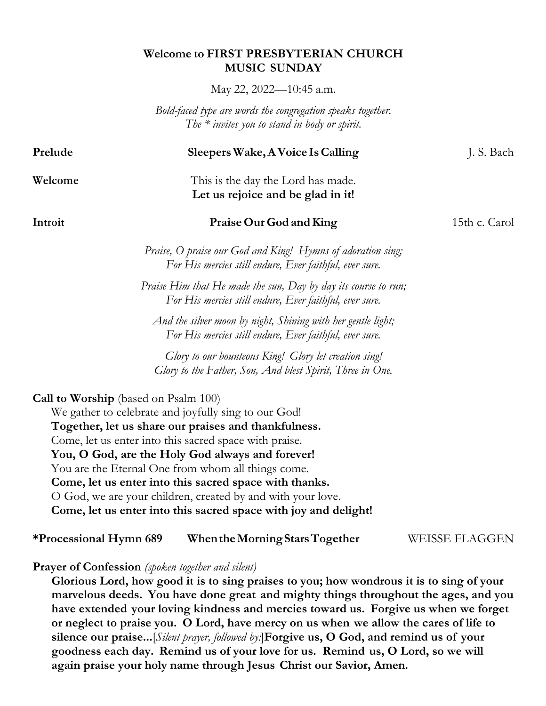## **Welcome to FIRST PRESBYTERIAN CHURCH MUSIC SUNDAY**

May 22, 2022—10:45 a.m.

*Bold-faced type are words the congregation speaks together. The \* invites you to stand in body or spirit.*

| Prelude                                     | Sleepers Wake, A Voice Is Calling                                                                                         | J. S. Bach            |
|---------------------------------------------|---------------------------------------------------------------------------------------------------------------------------|-----------------------|
| Welcome                                     | This is the day the Lord has made.<br>Let us rejoice and be glad in it!                                                   |                       |
| Introit                                     | Praise Our God and King                                                                                                   | 15th c. Carol         |
|                                             | Praise, O praise our God and King! Hymns of adoration sing;<br>For His mercies still endure, Ever faithful, ever sure.    |                       |
|                                             | Praise Him that He made the sun, Day by day its course to run;<br>For His mercies still endure, Ever faithful, ever sure. |                       |
|                                             | And the silver moon by night, Shining with her gentle light;<br>For His mercies still endure, Ever faithful, ever sure.   |                       |
|                                             | Glory to our bounteous King! Glory let creation sing!<br>Glory to the Father, Son, And blest Spirit, Three in One.        |                       |
| <b>Call to Worship</b> (based on Psalm 100) | We gather to celebrate and joyfully sing to our God!                                                                      |                       |
|                                             | Together, let us share our praises and thankfulness.                                                                      |                       |
|                                             | Come, let us enter into this sacred space with praise.                                                                    |                       |
|                                             | You, O God, are the Holy God always and forever!                                                                          |                       |
|                                             | You are the Eternal One from whom all things come.<br>Come, let us enter into this sacred space with thanks.              |                       |
|                                             | O God, we are your children, created by and with your love.                                                               |                       |
|                                             | Come, let us enter into this sacred space with joy and delight!                                                           |                       |
| *Processional Hymn 689                      | When the Morning Stars Together                                                                                           | <b>WEISSE FLAGGEN</b> |

**Prayer of Confession** *(spoken together and silent)*

**Glorious Lord, how good it is to sing praises to you; how wondrous it is to sing of your marvelous deeds. You have done great and mighty things throughout the ages, and you have extended your loving kindness and mercies toward us. Forgive us when we forget or neglect to praise you. O Lord, have mercy on us when we allow the cares of life to silence our praise...**[*Silent prayer, followed by:*]**Forgive us, O God, and remind us of your goodness each day. Remind us of your love for us. Remind us, O Lord, so we will again praise your holy name through Jesus Christ our Savior, Amen.**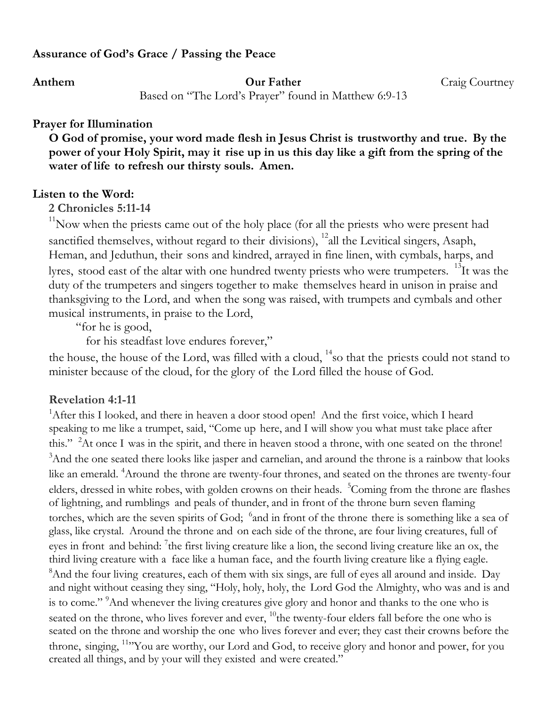# **Assurance of God's Grace / Passing the Peace**

**Anthem Our Father** Craig Courtney

Based on "The Lord's Prayer" found in Matthew 6:9-13

### **Prayer for Illumination**

**O God of promise, your word made flesh in Jesus Christ is trustworthy and true. By the power of your Holy Spirit, may it rise up in us this day like a gift from the spring of the water of life to refresh our thirsty souls. Amen.**

#### **Listen to the Word:**

**2 Chronicles 5:11-14**

 $11$ Now when the priests came out of the holy place (for all the priests who were present had sanctified themselves, without regard to their divisions),  $^{12}$ all the Levitical singers, Asaph, Heman, and Jeduthun, their sons and kindred, arrayed in fine linen, with cymbals, harps, and lyres, stood east of the altar with one hundred twenty priests who were trumpeters. <sup>13</sup>It was the duty of the trumpeters and singers together to make themselves heard in unison in praise and thanksgiving to the Lord, and when the song was raised, with trumpets and cymbals and other musical instruments, in praise to the Lord,

"for he is good,

for his steadfast love endures forever,"

the house, the house of the Lord, was filled with a cloud,  $14$  so that the priests could not stand to minister because of the cloud, for the glory of the Lord filled the house of God.

### **Revelation 4:1-11**

<sup>1</sup>After this I looked, and there in heaven a door stood open! And the first voice, which I heard speaking to me like a trumpet, said, "Come up here, and I will show you what must take place after this." <sup>2</sup>At once I was in the spirit, and there in heaven stood a throne, with one seated on the throne!<br><sup>3</sup>And the one seated there looks like issuer and servelien, and around the throne is a reinbow that look <sup>3</sup>And the one seated there looks like jasper and carnelian, and around the throne is a rainbow that looks like an emerald. <sup>4</sup>Around the throne are twenty-four thrones, and seated on the thrones are twenty-four elders, dressed in white robes, with golden crowns on their heads. <sup>5</sup>Coming from the throne are flashes of lightning, and rumblings and peals of thunder, and in front of the throne burn seven flaming torches, which are the seven spirits of God; <sup>6</sup>and in front of the throne there is something like a sea of glass, like crystal. Around the throne and on each side of the throne, are four living creatures, full of eyes in front and behind: <sup>7</sup>the first living creature like a lion, the second living creature like an ox, the third living creature with a face like a human face, and the fourth living creature like a flying eagle. <sup>8</sup>And the four living creatures, each of them with six sings, are full of eyes all around and inside. Day and night without ceasing they sing, "Holy, holy, holy, the Lord God the Almighty, who was and is and is to come." <sup>9</sup>And whenever the living creatures give glory and honor and thanks to the one who is seated on the throne, who lives forever and ever, <sup>10</sup>the twenty-four elders fall before the one who is seated on the throne and worship the one who lives forever and ever; they cast their crowns before the throne, singing, <sup>11</sup> You are worthy, our Lord and God, to receive glory and honor and power, for you created all things, and by your will they existed and were created."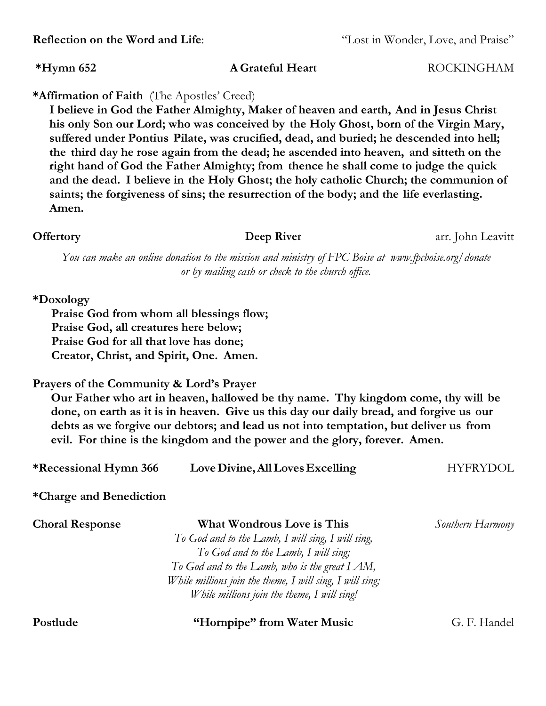**\*Affirmation of Faith** (The Apostles' Creed) **I believe in God the Father Almighty, Maker of heaven and earth, And in Jesus Christ his only Son our Lord; who was conceived by the Holy Ghost, born of the Virgin Mary, suffered under Pontius Pilate, was crucified, dead, and buried; he descended into hell; the third day he rose again from the dead; he ascended into heaven, and sitteth on the right hand of God the Father Almighty; from thence he shall come to judge the quick and the dead. I believe in the Holy Ghost; the holy catholic Church; the communion of saints; the forgiveness of sins; the resurrection of the body; and the life everlasting. Amen.**

*You can make an online donation to the mission and ministry of FPC Boise at www.fpcboise.org/donate or by mailing cash or check to the church office.*

### **\*Doxology**

**Praise God from whom all blessings flow; Praise God, all creatures here below; Praise God for all that love has done; Creator, Christ, and Spirit, One. Amen.**

#### **Prayers of the Community & Lord's Prayer**

**Our Father who art in heaven, hallowed be thy name. Thy kingdom come, thy will be done, on earth as it is in heaven. Give us this day our daily bread, and forgive us our debts as we forgive our debtors; and lead us not into temptation, but deliver us from evil. For thine is the kingdom and the power and the glory, forever. Amen.**

| <b>*Recessional Hymn 366</b> | Love Divine, All Loves Excelling | HYFRYDOL |
|------------------------------|----------------------------------|----------|
|------------------------------|----------------------------------|----------|

## **\*Charge and Benediction**

| <b>Choral Response</b> | What Wondrous Love is This                               | Southern Harmony |
|------------------------|----------------------------------------------------------|------------------|
|                        | To God and to the Lamb, I will sing, I will sing,        |                  |
|                        | To God and to the Lamb, I will sing;                     |                  |
|                        | To God and to the Lamb, who is the great $IAM$ ,         |                  |
|                        | While millions join the theme, I will sing, I will sing; |                  |
|                        | While millions join the theme, I will sing!              |                  |

### **Postlude "Hornpipe" from Water Music** G. F. Handel

# **Reflection** on the Word and Life: "Lost in Wonder, Love, and Praise"

**\*Hymn 652 A Grateful Heart** ROCKINGHAM

**Offertory Deep River arr.** John Leavitt